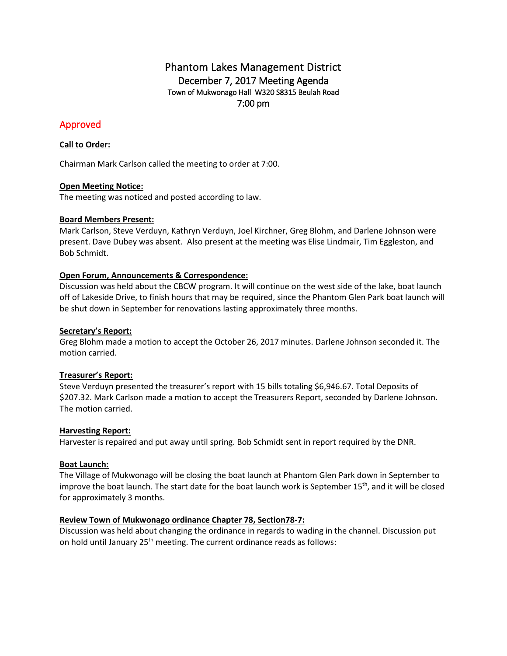# Phantom Lakes Management District December 7, 2017 Meeting Agenda Town of Mukwonago Hall W320 S8315 Beulah Road 7:00 pm

## Approved

## **Call to Order:**

Chairman Mark Carlson called the meeting to order at 7:00.

## **Open Meeting Notice:**

The meeting was noticed and posted according to law.

## **Board Members Present:**

Mark Carlson, Steve Verduyn, Kathryn Verduyn, Joel Kirchner, Greg Blohm, and Darlene Johnson were present. Dave Dubey was absent. Also present at the meeting was Elise Lindmair, Tim Eggleston, and Bob Schmidt.

## **Open Forum, Announcements & Correspondence:**

Discussion was held about the CBCW program. It will continue on the west side of the lake, boat launch off of Lakeside Drive, to finish hours that may be required, since the Phantom Glen Park boat launch will be shut down in September for renovations lasting approximately three months.

### **Secretary's Report:**

Greg Blohm made a motion to accept the October 26, 2017 minutes. Darlene Johnson seconded it. The motion carried.

## **Treasurer's Report:**

Steve Verduyn presented the treasurer's report with 15 bills totaling \$6,946.67. Total Deposits of \$207.32. Mark Carlson made a motion to accept the Treasurers Report, seconded by Darlene Johnson. The motion carried.

#### **Harvesting Report:**

Harvester is repaired and put away until spring. Bob Schmidt sent in report required by the DNR.

## **Boat Launch:**

The Village of Mukwonago will be closing the boat launch at Phantom Glen Park down in September to improve the boat launch. The start date for the boat launch work is September 15<sup>th</sup>, and it will be closed for approximately 3 months.

#### **Review Town of Mukwonago ordinance Chapter 78, Section78-7:**

Discussion was held about changing the ordinance in regards to wading in the channel. Discussion put on hold until January 25<sup>th</sup> meeting. The current ordinance reads as follows: